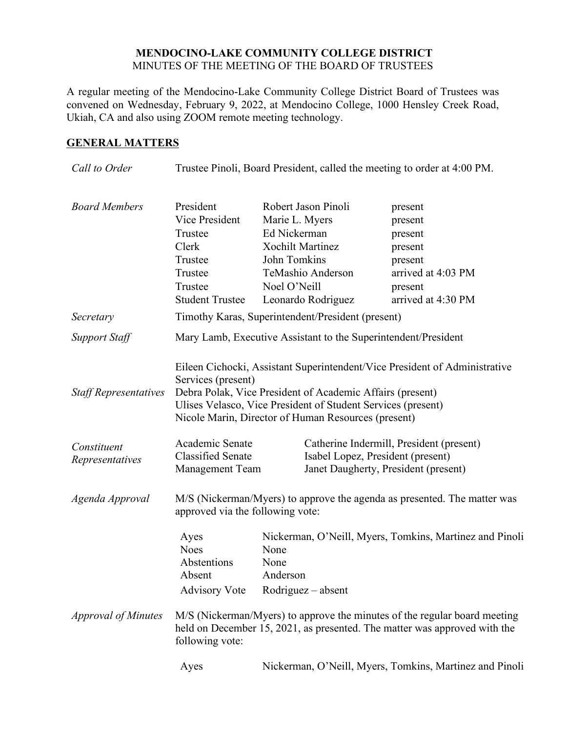# **MENDOCINO-LAKE COMMUNITY COLLEGE DISTRICT** MINUTES OF THE MEETING OF THE BOARD OF TRUSTEES

A regular meeting of the Mendocino-Lake Community College District Board of Trustees was convened on Wednesday, February 9, 2022, at Mendocino College, 1000 Hensley Creek Road, Ukiah, CA and also using ZOOM remote meeting technology.

# **GENERAL MATTERS**

| Call to Order                  | Trustee Pinoli, Board President, called the meeting to order at 4:00 PM.                                                                                                                                                                                                             |                                                                                                                                                             |                                                                                                                                                        |
|--------------------------------|--------------------------------------------------------------------------------------------------------------------------------------------------------------------------------------------------------------------------------------------------------------------------------------|-------------------------------------------------------------------------------------------------------------------------------------------------------------|--------------------------------------------------------------------------------------------------------------------------------------------------------|
| <b>Board Members</b>           | President<br>Vice President<br>Trustee<br>Clerk<br>Trustee<br>Trustee<br>Trustee<br><b>Student Trustee</b>                                                                                                                                                                           | Robert Jason Pinoli<br>Marie L. Myers<br>Ed Nickerman<br><b>Xochilt Martinez</b><br>John Tomkins<br>TeMashio Anderson<br>Noel O'Neill<br>Leonardo Rodriguez | present<br>present<br>present<br>present<br>present<br>arrived at 4:03 PM<br>present<br>arrived at 4:30 PM                                             |
| Secretary                      | Timothy Karas, Superintendent/President (present)                                                                                                                                                                                                                                    |                                                                                                                                                             |                                                                                                                                                        |
| <b>Support Staff</b>           | Mary Lamb, Executive Assistant to the Superintendent/President                                                                                                                                                                                                                       |                                                                                                                                                             |                                                                                                                                                        |
| <b>Staff Representatives</b>   | Eileen Cichocki, Assistant Superintendent/Vice President of Administrative<br>Services (present)<br>Debra Polak, Vice President of Academic Affairs (present)<br>Ulises Velasco, Vice President of Student Services (present)<br>Nicole Marin, Director of Human Resources (present) |                                                                                                                                                             |                                                                                                                                                        |
| Constituent<br>Representatives | Academic Senate<br><b>Classified Senate</b><br><b>Management Team</b>                                                                                                                                                                                                                | Isabel Lopez, President (present)<br>Janet Daugherty, President (present)                                                                                   | Catherine Indermill, President (present)                                                                                                               |
| Agenda Approval                | M/S (Nickerman/Myers) to approve the agenda as presented. The matter was<br>approved via the following vote:                                                                                                                                                                         |                                                                                                                                                             |                                                                                                                                                        |
|                                | Ayes<br><b>Noes</b><br>Abstentions<br>Absent<br><b>Advisory Vote</b>                                                                                                                                                                                                                 | None<br>None<br>Anderson<br>$Rodriguez - absent$                                                                                                            | Nickerman, O'Neill, Myers, Tomkins, Martinez and Pinoli                                                                                                |
| <i>Approval of Minutes</i>     | following vote:                                                                                                                                                                                                                                                                      |                                                                                                                                                             | M/S (Nickerman/Myers) to approve the minutes of the regular board meeting<br>held on December 15, 2021, as presented. The matter was approved with the |
|                                | Ayes                                                                                                                                                                                                                                                                                 |                                                                                                                                                             | Nickerman, O'Neill, Myers, Tomkins, Martinez and Pinoli                                                                                                |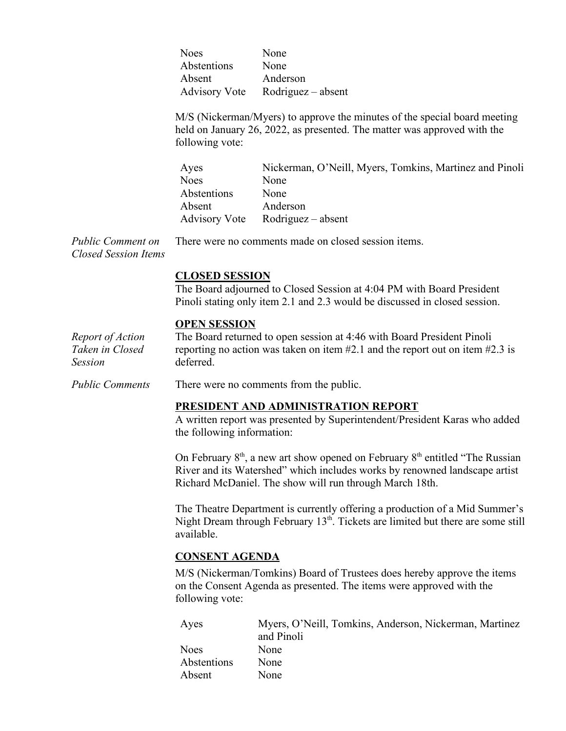Noes None Abstentions None Absent Anderson Advisory Vote Rodriguez – absent

M/S (Nickerman/Myers) to approve the minutes of the special board meeting held on January 26, 2022, as presented. The matter was approved with the following vote:

Ayes Nickerman, O'Neill, Myers, Tomkins, Martinez and Pinoli Noes None Abstentions None Absent Anderson Advisory Vote Rodriguez – absent

*Public Comment on Closed Session Items* There were no comments made on closed session items.

# **CLOSED SESSION**

The Board adjourned to Closed Session at 4:04 PM with Board President Pinoli stating only item 2.1 and 2.3 would be discussed in closed session.

### **OPEN SESSION**

*Report of Action Taken in Closed Session* The Board returned to open session at 4:46 with Board President Pinoli reporting no action was taken on item #2.1 and the report out on item #2.3 is deferred.

*Public Comments* There were no comments from the public.

### **PRESIDENT AND ADMINISTRATION REPORT**

A written report was presented by Superintendent/President Karas who added the following information:

On February  $8<sup>th</sup>$ , a new art show opened on February  $8<sup>th</sup>$  entitled "The Russian" River and its Watershed" which includes works by renowned landscape artist Richard McDaniel. The show will run through March 18th.

The Theatre Department is currently offering a production of a Mid Summer's Night Dream through February  $13<sup>th</sup>$ . Tickets are limited but there are some still available.

### **CONSENT AGENDA**

M/S (Nickerman/Tomkins) Board of Trustees does hereby approve the items on the Consent Agenda as presented. The items were approved with the following vote:

| Ayes        | Myers, O'Neill, Tomkins, Anderson, Nickerman, Martinez |
|-------------|--------------------------------------------------------|
|             | and Pinoli                                             |
| <b>Noes</b> | None                                                   |
| Abstentions | None                                                   |
| Absent      | None                                                   |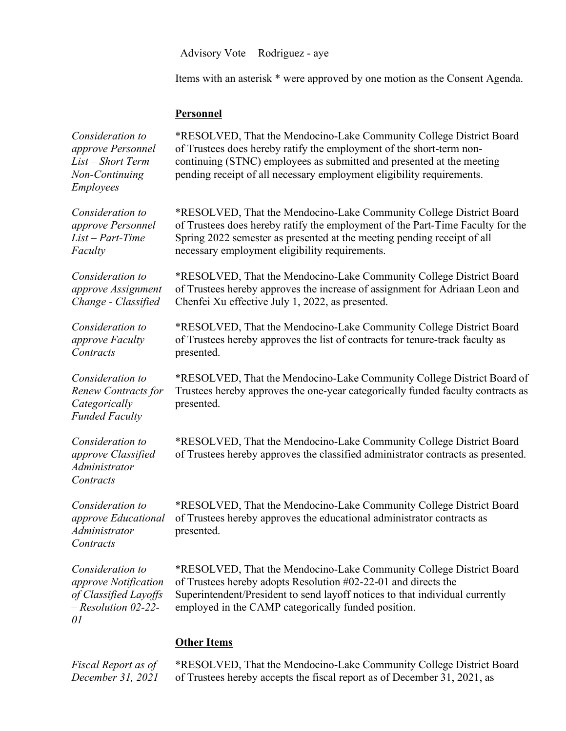Advisory Vote Rodriguez - aye

Items with an asterisk \* were approved by one motion as the Consent Agenda.

#### **Personnel**

*Consideration to approve Personnel List – Short Term Non-Continuing Employees* \*RESOLVED, That the Mendocino-Lake Community College District Board of Trustees does hereby ratify the employment of the short-term noncontinuing (STNC) employees as submitted and presented at the meeting pending receipt of all necessary employment eligibility requirements. *Consideration to approve Personnel List – Part-Time Faculty*  \*RESOLVED, That the Mendocino-Lake Community College District Board of Trustees does hereby ratify the employment of the Part-Time Faculty for the Spring 2022 semester as presented at the meeting pending receipt of all necessary employment eligibility requirements. *Consideration to approve Assignment Change - Classified* \*RESOLVED, That the Mendocino-Lake Community College District Board of Trustees hereby approves the increase of assignment for Adriaan Leon and Chenfei Xu effective July 1, 2022, as presented. *Consideration to approve Faculty Contracts* \*RESOLVED, That the Mendocino-Lake Community College District Board of Trustees hereby approves the list of contracts for tenure-track faculty as presented. *Consideration to Renew Contracts for Categorically Funded Faculty* \*RESOLVED, That the Mendocino-Lake Community College District Board of Trustees hereby approves the one-year categorically funded faculty contracts as presented. *Consideration to approve Classified Administrator Contracts* \*RESOLVED, That the Mendocino-Lake Community College District Board of Trustees hereby approves the classified administrator contracts as presented. *Consideration to approve Educational Administrator Contracts* \*RESOLVED, That the Mendocino-Lake Community College District Board of Trustees hereby approves the educational administrator contracts as presented. *Consideration to approve Notification of Classified Layoffs – Resolution 02-22- 01* \*RESOLVED, That the Mendocino-Lake Community College District Board of Trustees hereby adopts Resolution #02-22-01 and directs the Superintendent/President to send layoff notices to that individual currently employed in the CAMP categorically funded position. **Other Items**

*Fiscal Report as of December 31, 2021* \*RESOLVED, That the Mendocino-Lake Community College District Board of Trustees hereby accepts the fiscal report as of December 31, 2021, as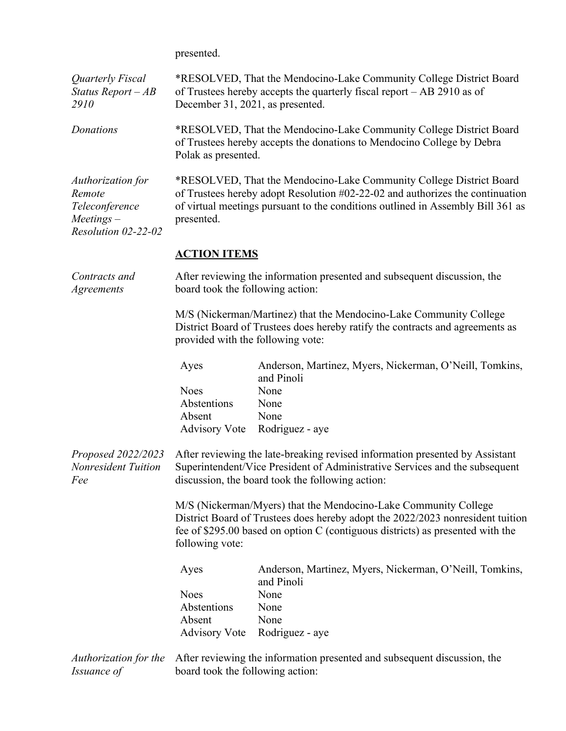presented.

| Quarterly Fiscal<br>Status Report $-AB$<br>2910                                      | *RESOLVED, That the Mendocino-Lake Community College District Board<br>of Trustees hereby accepts the quarterly fiscal report – AB 2910 as of<br>December 31, 2021, as presented.                                                                      |                                                                                                                                                                                                                 |  |
|--------------------------------------------------------------------------------------|--------------------------------------------------------------------------------------------------------------------------------------------------------------------------------------------------------------------------------------------------------|-----------------------------------------------------------------------------------------------------------------------------------------------------------------------------------------------------------------|--|
| Donations                                                                            | *RESOLVED, That the Mendocino-Lake Community College District Board<br>of Trustees hereby accepts the donations to Mendocino College by Debra<br>Polak as presented.                                                                                   |                                                                                                                                                                                                                 |  |
| Authorization for<br>Remote<br>Teleconference<br>$Meetings -$<br>Resolution 02-22-02 | *RESOLVED, That the Mendocino-Lake Community College District Board<br>of Trustees hereby adopt Resolution #02-22-02 and authorizes the continuation<br>of virtual meetings pursuant to the conditions outlined in Assembly Bill 361 as<br>presented.  |                                                                                                                                                                                                                 |  |
|                                                                                      | <b>ACTION ITEMS</b>                                                                                                                                                                                                                                    |                                                                                                                                                                                                                 |  |
| Contracts and<br><i>Agreements</i>                                                   | board took the following action:                                                                                                                                                                                                                       | After reviewing the information presented and subsequent discussion, the                                                                                                                                        |  |
|                                                                                      | provided with the following vote:                                                                                                                                                                                                                      | M/S (Nickerman/Martinez) that the Mendocino-Lake Community College<br>District Board of Trustees does hereby ratify the contracts and agreements as                                                             |  |
|                                                                                      | Ayes                                                                                                                                                                                                                                                   | Anderson, Martinez, Myers, Nickerman, O'Neill, Tomkins,<br>and Pinoli                                                                                                                                           |  |
|                                                                                      | <b>Noes</b>                                                                                                                                                                                                                                            | None                                                                                                                                                                                                            |  |
|                                                                                      | Abstentions<br>Absent                                                                                                                                                                                                                                  | None<br>None                                                                                                                                                                                                    |  |
|                                                                                      | <b>Advisory Vote</b>                                                                                                                                                                                                                                   | Rodriguez - aye                                                                                                                                                                                                 |  |
| Proposed 2022/2023<br>Nonresident Tuition<br>Fee                                     |                                                                                                                                                                                                                                                        | After reviewing the late-breaking revised information presented by Assistant<br>Superintendent/Vice President of Administrative Services and the subsequent<br>discussion, the board took the following action: |  |
|                                                                                      | M/S (Nickerman/Myers) that the Mendocino-Lake Community College<br>District Board of Trustees does hereby adopt the 2022/2023 nonresident tuition<br>fee of \$295.00 based on option C (contiguous districts) as presented with the<br>following vote: |                                                                                                                                                                                                                 |  |
|                                                                                      | Ayes                                                                                                                                                                                                                                                   | Anderson, Martinez, Myers, Nickerman, O'Neill, Tomkins,<br>and Pinoli                                                                                                                                           |  |
|                                                                                      | <b>Noes</b>                                                                                                                                                                                                                                            | None                                                                                                                                                                                                            |  |
|                                                                                      | Abstentions<br>Absent                                                                                                                                                                                                                                  | None<br>None                                                                                                                                                                                                    |  |
|                                                                                      | <b>Advisory Vote</b>                                                                                                                                                                                                                                   | Rodriguez - aye                                                                                                                                                                                                 |  |
| Authorization for the<br><i>Issuance of</i>                                          | After reviewing the information presented and subsequent discussion, the<br>board took the following action:                                                                                                                                           |                                                                                                                                                                                                                 |  |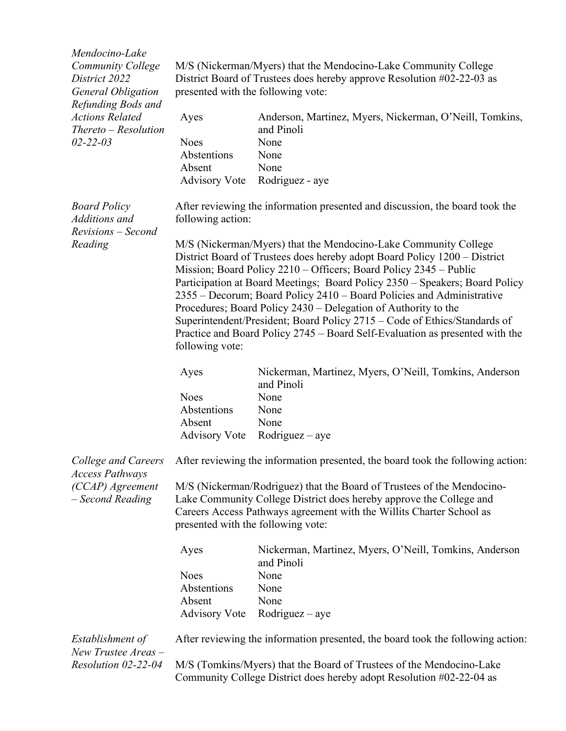| Mendocino-Lake<br><b>Community College</b><br>District 2022<br><b>General Obligation</b> | M/S (Nickerman/Myers) that the Mendocino-Lake Community College<br>District Board of Trustees does hereby approve Resolution #02-22-03 as<br>presented with the following vote: |                                                                                                                                                                                                                                                                                                                                                                                                                                                                                                                                                                                                          |  |
|------------------------------------------------------------------------------------------|---------------------------------------------------------------------------------------------------------------------------------------------------------------------------------|----------------------------------------------------------------------------------------------------------------------------------------------------------------------------------------------------------------------------------------------------------------------------------------------------------------------------------------------------------------------------------------------------------------------------------------------------------------------------------------------------------------------------------------------------------------------------------------------------------|--|
| Refunding Bods and<br><b>Actions Related</b><br>Thereto – Resolution<br>$02 - 22 - 03$   | Ayes<br><b>Noes</b><br>Abstentions<br>Absent<br><b>Advisory Vote</b>                                                                                                            | Anderson, Martinez, Myers, Nickerman, O'Neill, Tomkins,<br>and Pinoli<br>None<br>None<br>None<br>Rodriguez - aye                                                                                                                                                                                                                                                                                                                                                                                                                                                                                         |  |
| <b>Board Policy</b><br>Additions and<br>Revisions - Second<br>Reading                    | following action:                                                                                                                                                               | After reviewing the information presented and discussion, the board took the                                                                                                                                                                                                                                                                                                                                                                                                                                                                                                                             |  |
|                                                                                          | following vote:                                                                                                                                                                 | M/S (Nickerman/Myers) that the Mendocino-Lake Community College<br>District Board of Trustees does hereby adopt Board Policy 1200 – District<br>Mission; Board Policy 2210 – Officers; Board Policy 2345 – Public<br>Participation at Board Meetings; Board Policy 2350 - Speakers; Board Policy<br>2355 - Decorum; Board Policy 2410 - Board Policies and Administrative<br>Procedures; Board Policy 2430 – Delegation of Authority to the<br>Superintendent/President; Board Policy 2715 – Code of Ethics/Standards of<br>Practice and Board Policy 2745 – Board Self-Evaluation as presented with the |  |
|                                                                                          | Ayes                                                                                                                                                                            | Nickerman, Martinez, Myers, O'Neill, Tomkins, Anderson<br>and Pinoli                                                                                                                                                                                                                                                                                                                                                                                                                                                                                                                                     |  |
|                                                                                          | <b>Noes</b><br>Abstentions<br>Absent<br><b>Advisory Vote</b>                                                                                                                    | None<br>None<br>None<br>$Rodriguez - aye$                                                                                                                                                                                                                                                                                                                                                                                                                                                                                                                                                                |  |
|                                                                                          |                                                                                                                                                                                 | College and Careers After reviewing the information presented, the board took the following action:                                                                                                                                                                                                                                                                                                                                                                                                                                                                                                      |  |
| <b>Access Pathways</b><br>(CCAP) Agreement<br>- Second Reading                           | presented with the following vote:                                                                                                                                              | M/S (Nickerman/Rodriguez) that the Board of Trustees of the Mendocino-<br>Lake Community College District does hereby approve the College and<br>Careers Access Pathways agreement with the Willits Charter School as                                                                                                                                                                                                                                                                                                                                                                                    |  |
|                                                                                          | Ayes                                                                                                                                                                            | Nickerman, Martinez, Myers, O'Neill, Tomkins, Anderson<br>and Pinoli                                                                                                                                                                                                                                                                                                                                                                                                                                                                                                                                     |  |
|                                                                                          | <b>Noes</b><br>Abstentions<br>Absent<br><b>Advisory Vote</b>                                                                                                                    | None<br>None<br>None<br>$Rodriguez - aye$                                                                                                                                                                                                                                                                                                                                                                                                                                                                                                                                                                |  |
| Establishment of<br>New Trustee Areas -                                                  | After reviewing the information presented, the board took the following action:                                                                                                 |                                                                                                                                                                                                                                                                                                                                                                                                                                                                                                                                                                                                          |  |
| Resolution 02-22-04                                                                      |                                                                                                                                                                                 | M/S (Tomkins/Myers) that the Board of Trustees of the Mendocino-Lake<br>Community College District does hereby adopt Resolution #02-22-04 as                                                                                                                                                                                                                                                                                                                                                                                                                                                             |  |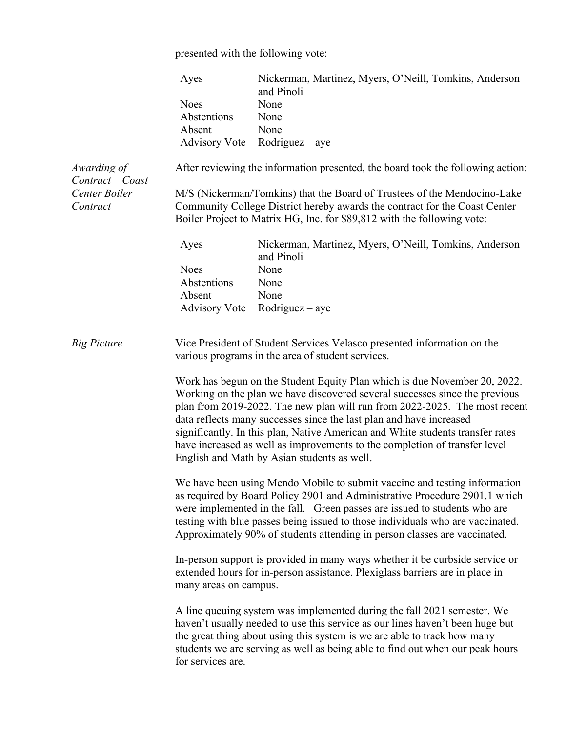presented with the following vote:

|                                 | Ayes                                                                                                                                                                                                                                                                                                                                                                                                                                                                                                                         | Nickerman, Martinez, Myers, O'Neill, Tomkins, Anderson<br>and Pinoli                                                                                                                                                                                                                                                                                                                                |  |
|---------------------------------|------------------------------------------------------------------------------------------------------------------------------------------------------------------------------------------------------------------------------------------------------------------------------------------------------------------------------------------------------------------------------------------------------------------------------------------------------------------------------------------------------------------------------|-----------------------------------------------------------------------------------------------------------------------------------------------------------------------------------------------------------------------------------------------------------------------------------------------------------------------------------------------------------------------------------------------------|--|
|                                 | <b>Noes</b>                                                                                                                                                                                                                                                                                                                                                                                                                                                                                                                  | None                                                                                                                                                                                                                                                                                                                                                                                                |  |
|                                 | Abstentions                                                                                                                                                                                                                                                                                                                                                                                                                                                                                                                  | None                                                                                                                                                                                                                                                                                                                                                                                                |  |
|                                 | Absent                                                                                                                                                                                                                                                                                                                                                                                                                                                                                                                       | None                                                                                                                                                                                                                                                                                                                                                                                                |  |
|                                 | <b>Advisory Vote</b>                                                                                                                                                                                                                                                                                                                                                                                                                                                                                                         | $Rodriguez - aye$                                                                                                                                                                                                                                                                                                                                                                                   |  |
|                                 |                                                                                                                                                                                                                                                                                                                                                                                                                                                                                                                              |                                                                                                                                                                                                                                                                                                                                                                                                     |  |
| Awarding of<br>Contract - Coast |                                                                                                                                                                                                                                                                                                                                                                                                                                                                                                                              | After reviewing the information presented, the board took the following action:                                                                                                                                                                                                                                                                                                                     |  |
| Center Boiler                   | M/S (Nickerman/Tomkins) that the Board of Trustees of the Mendocino-Lake<br>Community College District hereby awards the contract for the Coast Center                                                                                                                                                                                                                                                                                                                                                                       |                                                                                                                                                                                                                                                                                                                                                                                                     |  |
| Contract                        |                                                                                                                                                                                                                                                                                                                                                                                                                                                                                                                              |                                                                                                                                                                                                                                                                                                                                                                                                     |  |
|                                 | Boiler Project to Matrix HG, Inc. for \$89,812 with the following vote:                                                                                                                                                                                                                                                                                                                                                                                                                                                      |                                                                                                                                                                                                                                                                                                                                                                                                     |  |
|                                 | Ayes                                                                                                                                                                                                                                                                                                                                                                                                                                                                                                                         | Nickerman, Martinez, Myers, O'Neill, Tomkins, Anderson<br>and Pinoli                                                                                                                                                                                                                                                                                                                                |  |
|                                 | <b>Noes</b>                                                                                                                                                                                                                                                                                                                                                                                                                                                                                                                  | None                                                                                                                                                                                                                                                                                                                                                                                                |  |
|                                 | Abstentions                                                                                                                                                                                                                                                                                                                                                                                                                                                                                                                  | None                                                                                                                                                                                                                                                                                                                                                                                                |  |
|                                 | Absent                                                                                                                                                                                                                                                                                                                                                                                                                                                                                                                       | None                                                                                                                                                                                                                                                                                                                                                                                                |  |
|                                 | <b>Advisory Vote</b>                                                                                                                                                                                                                                                                                                                                                                                                                                                                                                         | $Rodriguez - aye$                                                                                                                                                                                                                                                                                                                                                                                   |  |
|                                 |                                                                                                                                                                                                                                                                                                                                                                                                                                                                                                                              |                                                                                                                                                                                                                                                                                                                                                                                                     |  |
| <b>Big Picture</b>              |                                                                                                                                                                                                                                                                                                                                                                                                                                                                                                                              | Vice President of Student Services Velasco presented information on the<br>various programs in the area of student services.                                                                                                                                                                                                                                                                        |  |
|                                 | Work has begun on the Student Equity Plan which is due November 20, 2022.<br>Working on the plan we have discovered several successes since the previous<br>plan from 2019-2022. The new plan will run from 2022-2025. The most recent<br>data reflects many successes since the last plan and have increased<br>significantly. In this plan, Native American and White students transfer rates<br>have increased as well as improvements to the completion of transfer level<br>English and Math by Asian students as well. |                                                                                                                                                                                                                                                                                                                                                                                                     |  |
|                                 |                                                                                                                                                                                                                                                                                                                                                                                                                                                                                                                              | We have been using Mendo Mobile to submit vaccine and testing information<br>as required by Board Policy 2901 and Administrative Procedure 2901.1 which<br>were implemented in the fall. Green passes are issued to students who are<br>testing with blue passes being issued to those individuals who are vaccinated.<br>Approximately 90% of students attending in person classes are vaccinated. |  |
|                                 | many areas on campus.                                                                                                                                                                                                                                                                                                                                                                                                                                                                                                        | In-person support is provided in many ways whether it be curbside service or<br>extended hours for in-person assistance. Plexiglass barriers are in place in                                                                                                                                                                                                                                        |  |
|                                 | for services are.                                                                                                                                                                                                                                                                                                                                                                                                                                                                                                            | A line queuing system was implemented during the fall 2021 semester. We<br>haven't usually needed to use this service as our lines haven't been huge but<br>the great thing about using this system is we are able to track how many<br>students we are serving as well as being able to find out when our peak hours                                                                               |  |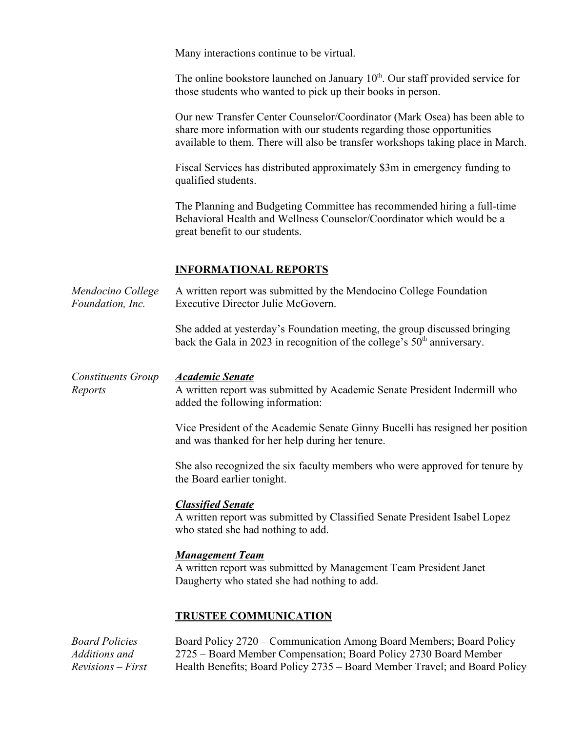Many interactions continue to be virtual.

The online bookstore launched on January  $10<sup>th</sup>$ . Our staff provided service for those students who wanted to pick up their books in person.

Our new Transfer Center Counselor/Coordinator (Mark Osea) has been able to share more information with our students regarding those opportunities available to them. There will also be transfer workshops taking place in March.

Fiscal Services has distributed approximately \$3m in emergency funding to qualified students.

The Planning and Budgeting Committee has recommended hiring a full-time Behavioral Health and Wellness Counselor/Coordinator which would be a great benefit to our students.

# **INFORMATIONAL REPORTS**

*Mendocino College Foundation, Inc.* A written report was submitted by the Mendocino College Foundation Executive Director Julie McGovern.

> She added at yesterday's Foundation meeting, the group discussed bringing back the Gala in 2023 in recognition of the college's  $50<sup>th</sup>$  anniversary.

*Constituents Group Reports Academic Senate* A written report was submitted by Academic Senate President Indermill who added the following information:

> Vice President of the Academic Senate Ginny Bucelli has resigned her position and was thanked for her help during her tenure.

She also recognized the six faculty members who were approved for tenure by the Board earlier tonight.

### *Classified Senate*

A written report was submitted by Classified Senate President Isabel Lopez who stated she had nothing to add.

### *Management Team*

A written report was submitted by Management Team President Janet Daugherty who stated she had nothing to add.

### **TRUSTEE COMMUNICATION**

*Board Policies Additions and Revisions – First*  Board Policy 2720 – Communication Among Board Members; Board Policy 2725 – Board Member Compensation; Board Policy 2730 Board Member Health Benefits; Board Policy 2735 – Board Member Travel; and Board Policy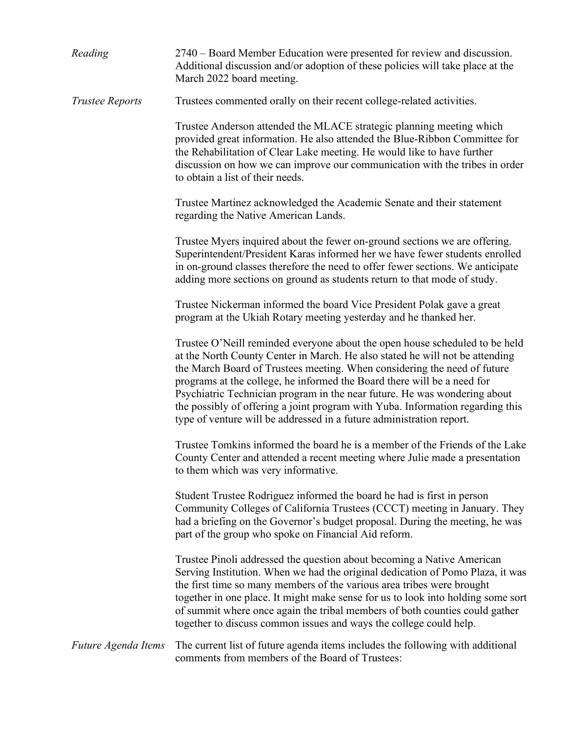| Reading                | 2740 – Board Member Education were presented for review and discussion.<br>Additional discussion and/or adoption of these policies will take place at the<br>March 2022 board meeting.                                                                                                                                                                                                                                                                                                                                                                    |
|------------------------|-----------------------------------------------------------------------------------------------------------------------------------------------------------------------------------------------------------------------------------------------------------------------------------------------------------------------------------------------------------------------------------------------------------------------------------------------------------------------------------------------------------------------------------------------------------|
| <b>Trustee Reports</b> | Trustees commented orally on their recent college-related activities.                                                                                                                                                                                                                                                                                                                                                                                                                                                                                     |
|                        | Trustee Anderson attended the MLACE strategic planning meeting which<br>provided great information. He also attended the Blue-Ribbon Committee for<br>the Rehabilitation of Clear Lake meeting. He would like to have further<br>discussion on how we can improve our communication with the tribes in order<br>to obtain a list of their needs.                                                                                                                                                                                                          |
|                        | Trustee Martinez acknowledged the Academic Senate and their statement<br>regarding the Native American Lands.                                                                                                                                                                                                                                                                                                                                                                                                                                             |
|                        | Trustee Myers inquired about the fewer on-ground sections we are offering.<br>Superintendent/President Karas informed her we have fewer students enrolled<br>in on-ground classes therefore the need to offer fewer sections. We anticipate<br>adding more sections on ground as students return to that mode of study.                                                                                                                                                                                                                                   |
|                        | Trustee Nickerman informed the board Vice President Polak gave a great<br>program at the Ukiah Rotary meeting yesterday and he thanked her.                                                                                                                                                                                                                                                                                                                                                                                                               |
|                        | Trustee O'Neill reminded everyone about the open house scheduled to be held<br>at the North County Center in March. He also stated he will not be attending<br>the March Board of Trustees meeting. When considering the need of future<br>programs at the college, he informed the Board there will be a need for<br>Psychiatric Technician program in the near future. He was wondering about<br>the possibly of offering a joint program with Yuba. Information regarding this<br>type of venture will be addressed in a future administration report. |
|                        | Trustee Tomkins informed the board he is a member of the Friends of the Lake<br>County Center and attended a recent meeting where Julie made a presentation<br>to them which was very informative.                                                                                                                                                                                                                                                                                                                                                        |
|                        | Student Trustee Rodriguez informed the board he had is first in person<br>Community Colleges of California Trustees (CCCT) meeting in January. They<br>had a briefing on the Governor's budget proposal. During the meeting, he was<br>part of the group who spoke on Financial Aid reform.                                                                                                                                                                                                                                                               |
|                        | Trustee Pinoli addressed the question about becoming a Native American<br>Serving Institution. When we had the original dedication of Pomo Plaza, it was<br>the first time so many members of the various area tribes were brought<br>together in one place. It might make sense for us to look into holding some sort<br>of summit where once again the tribal members of both counties could gather<br>together to discuss common issues and ways the college could help.                                                                               |
| Future Agenda Items    | The current list of future agenda items includes the following with additional<br>comments from members of the Board of Trustees:                                                                                                                                                                                                                                                                                                                                                                                                                         |